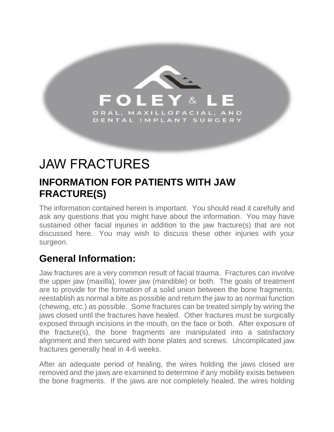

# JAW FRACTURES

## **INFORMATION FOR PATIENTS WITH JAW FRACTURE(S)**

The information contained herein is important. You should read it carefully and ask any questions that you might have about the information. You may have sustained other facial injuries in addition to the jaw fracture(s) that are not discussed here. You may wish to discuss these other injuries with your surgeon.

## **General Information:**

Jaw fractures are a very common result of facial trauma. Fractures can involve the upper jaw (maxilla), lower jaw (mandible) or both. The goals of treatment are to provide for the formation of a solid union between the bone fragments, reestablish as normal a bite as possible and return the jaw to as normal function (chewing, etc.) as possible. Some fractures can be treated simply by wiring the jaws closed until the fractures have healed. Other fractures must be surgically exposed through incisions in the mouth, on the face or both. After exposure of the fracture(s), the bone fragments are manipulated into a satisfactory alignment and then secured with bone plates and screws. Uncomplicated jaw fractures generally heal in 4-6 weeks.

After an adequate period of healing, the wires holding the jaws closed are removed and the jaws are examined to determine if any mobility exists between the bone fragments. If the jaws are not completely healed, the wires holding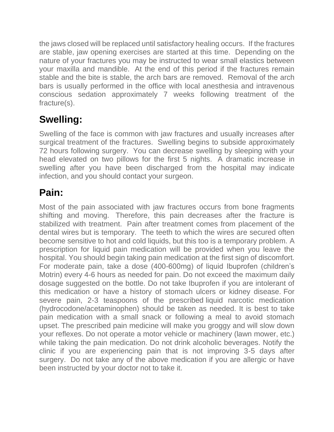the jaws closed will be replaced until satisfactory healing occurs. If the fractures are stable, jaw opening exercises are started at this time. Depending on the nature of your fractures you may be instructed to wear small elastics between your maxilla and mandible. At the end of this period if the fractures remain stable and the bite is stable, the arch bars are removed. Removal of the arch bars is usually performed in the office with local anesthesia and intravenous conscious sedation approximately 7 weeks following treatment of the fracture(s).

# **Swelling:**

Swelling of the face is common with jaw fractures and usually increases after surgical treatment of the fractures. Swelling begins to subside approximately 72 hours following surgery. You can decrease swelling by sleeping with your head elevated on two pillows for the first 5 nights. A dramatic increase in swelling after you have been discharged from the hospital may indicate infection, and you should contact your surgeon.

## **Pain:**

Most of the pain associated with jaw fractures occurs from bone fragments shifting and moving. Therefore, this pain decreases after the fracture is stabilized with treatment. Pain after treatment comes from placement of the dental wires but is temporary. The teeth to which the wires are secured often become sensitive to hot and cold liquids, but this too is a temporary problem. A prescription for liquid pain medication will be provided when you leave the hospital. You should begin taking pain medication at the first sign of discomfort. For moderate pain, take a dose (400-600mg) of liquid Ibuprofen (children's Motrin) every 4-6 hours as needed for pain. Do not exceed the maximum daily dosage suggested on the bottle. Do not take Ibuprofen if you are intolerant of this medication or have a history of stomach ulcers or kidney disease. For severe pain, 2-3 teaspoons of the prescribed liquid narcotic medication (hydrocodone/acetaminophen) should be taken as needed. It is best to take pain medication with a small snack or following a meal to avoid stomach upset. The prescribed pain medicine will make you groggy and will slow down your reflexes. Do not operate a motor vehicle or machinery (lawn mower, etc.) while taking the pain medication. Do not drink alcoholic beverages. Notify the clinic if you are experiencing pain that is not improving 3-5 days after surgery. Do not take any of the above medication if you are allergic or have been instructed by your doctor not to take it.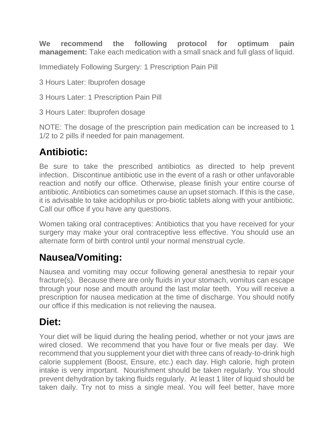**We recommend the following protocol for optimum pain management:** Take each medication with a small snack and full glass of liquid.

Immediately Following Surgery: 1 Prescription Pain Pill

3 Hours Later: Ibuprofen dosage

3 Hours Later: 1 Prescription Pain Pill

3 Hours Later: Ibuprofen dosage

NOTE: The dosage of the prescription pain medication can be increased to 1 1/2 to 2 pills if needed for pain management.

#### **Antibiotic:**

Be sure to take the prescribed antibiotics as directed to help prevent infection. Discontinue antibiotic use in the event of a rash or other unfavorable reaction and notify our office. Otherwise, please finish your entire course of antibiotic. Antibiotics can sometimes cause an upset stomach. If this is the case, it is advisable to take acidophilus or pro-biotic tablets along with your antibiotic. Call our office if you have any questions.

Women taking oral contraceptives: Antibiotics that you have received for your surgery may make your oral contraceptive less effective. You should use an alternate form of birth control until your normal menstrual cycle.

#### **Nausea/Vomiting:**

Nausea and vomiting may occur following general anesthesia to repair your fracture(s). Because there are only fluids in your stomach, vomitus can escape through your nose and mouth around the last molar teeth. You will receive a prescription for nausea medication at the time of discharge. You should notify our office if this medication is not relieving the nausea.

#### **Diet:**

Your diet will be liquid during the healing period, whether or not your jaws are wired closed. We recommend that you have four or five meals per day. We recommend that you supplement your diet with three cans of ready-to-drink high calorie supplement (Boost, Ensure, etc.) each day. High calorie, high protein intake is very important. Nourishment should be taken regularly. You should prevent dehydration by taking fluids regularly. At least 1 liter of liquid should be taken daily. Try not to miss a single meal. You will feel better, have more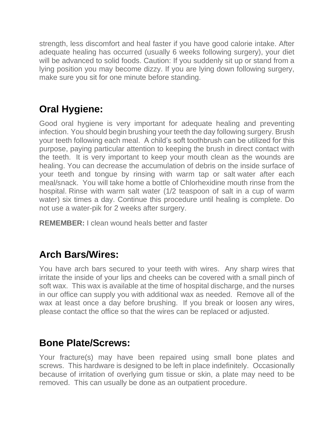strength, less discomfort and heal faster if you have good calorie intake. After adequate healing has occurred (usually 6 weeks following surgery), your diet will be advanced to solid foods. Caution: If you suddenly sit up or stand from a lying position you may become dizzy. If you are lying down following surgery, make sure you sit for one minute before standing.

# **Oral Hygiene:**

Good oral hygiene is very important for adequate healing and preventing infection. You should begin brushing your teeth the day following surgery. Brush your teeth following each meal. A child's soft toothbrush can be utilized for this purpose, paying particular attention to keeping the brush in direct contact with the teeth. It is very important to keep your mouth clean as the wounds are healing. You can decrease the accumulation of debris on the inside surface of your teeth and tongue by rinsing with warm tap or salt water after each meal/snack. You will take home a bottle of Chlorhexidine mouth rinse from the hospital. Rinse with warm salt water (1/2 teaspoon of salt in a cup of warm water) six times a day. Continue this procedure until healing is complete. Do not use a water-pik for 2 weeks after surgery.

**REMEMBER:** I clean wound heals better and faster

## **Arch Bars/Wires:**

You have arch bars secured to your teeth with wires. Any sharp wires that irritate the inside of your lips and cheeks can be covered with a small pinch of soft wax. This wax is available at the time of hospital discharge, and the nurses in our office can supply you with additional wax as needed. Remove all of the wax at least once a day before brushing. If you break or loosen any wires, please contact the office so that the wires can be replaced or adjusted.

#### **Bone Plate/Screws:**

Your fracture(s) may have been repaired using small bone plates and screws. This hardware is designed to be left in place indefinitely. Occasionally because of irritation of overlying gum tissue or skin, a plate may need to be removed. This can usually be done as an outpatient procedure.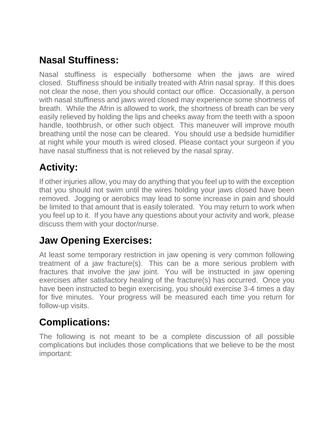## **Nasal Stuffiness:**

Nasal stuffiness is especially bothersome when the jaws are wired closed. Stuffiness should be initially treated with Afrin nasal spray. If this does not clear the nose, then you should contact our office. Occasionally, a person with nasal stuffiness and jaws wired closed may experience some shortness of breath. While the Afrin is allowed to work, the shortness of breath can be very easily relieved by holding the lips and cheeks away from the teeth with a spoon handle, toothbrush, or other such object. This maneuver will improve mouth breathing until the nose can be cleared. You should use a bedside humidifier at night while your mouth is wired closed. Please contact your surgeon if you have nasal stuffiness that is not relieved by the nasal spray.

## **Activity:**

If other injuries allow, you may do anything that you feel up to with the exception that you should not swim until the wires holding your jaws closed have been removed. Jogging or aerobics may lead to some increase in pain and should be limited to that amount that is easily tolerated. You may return to work when you feel up to it. If you have any questions about your activity and work, please discuss them with your doctor/nurse.

## **Jaw Opening Exercises:**

At least some temporary restriction in jaw opening is very common following treatment of a jaw fracture(s). This can be a more serious problem with fractures that involve the jaw joint. You will be instructed in jaw opening exercises after satisfactory healing of the fracture(s) has occurred. Once you have been instructed to begin exercising, you should exercise 3-4 times a day for five minutes. Your progress will be measured each time you return for follow-up visits.

#### **Complications:**

The following is not meant to be a complete discussion of all possible complications but includes those complications that we believe to be the most important: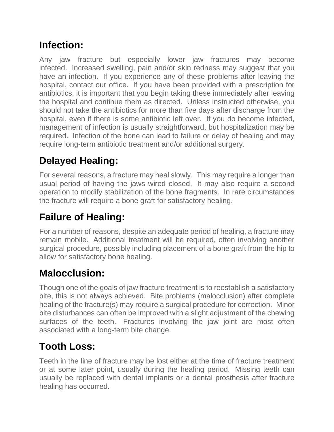## **Infection:**

Any jaw fracture but especially lower jaw fractures may become infected. Increased swelling, pain and/or skin redness may suggest that you have an infection. If you experience any of these problems after leaving the hospital, contact our office. If you have been provided with a prescription for antibiotics, it is important that you begin taking these immediately after leaving the hospital and continue them as directed. Unless instructed otherwise, you should not take the antibiotics for more than five days after discharge from the hospital, even if there is some antibiotic left over. If you do become infected, management of infection is usually straightforward, but hospitalization may be required. Infection of the bone can lead to failure or delay of healing and may require long-term antibiotic treatment and/or additional surgery.

# **Delayed Healing:**

For several reasons, a fracture may heal slowly. This may require a longer than usual period of having the jaws wired closed. It may also require a second operation to modify stabilization of the bone fragments. In rare circumstances the fracture will require a bone graft for satisfactory healing.

# **Failure of Healing:**

For a number of reasons, despite an adequate period of healing, a fracture may remain mobile. Additional treatment will be required, often involving another surgical procedure, possibly including placement of a bone graft from the hip to allow for satisfactory bone healing.

## **Malocclusion:**

Though one of the goals of jaw fracture treatment is to reestablish a satisfactory bite, this is not always achieved. Bite problems (malocclusion) after complete healing of the fracture(s) may require a surgical procedure for correction. Minor bite disturbances can often be improved with a slight adjustment of the chewing surfaces of the teeth. Fractures involving the jaw joint are most often associated with a long-term bite change.

## **Tooth Loss:**

Teeth in the line of fracture may be lost either at the time of fracture treatment or at some later point, usually during the healing period. Missing teeth can usually be replaced with dental implants or a dental prosthesis after fracture healing has occurred.